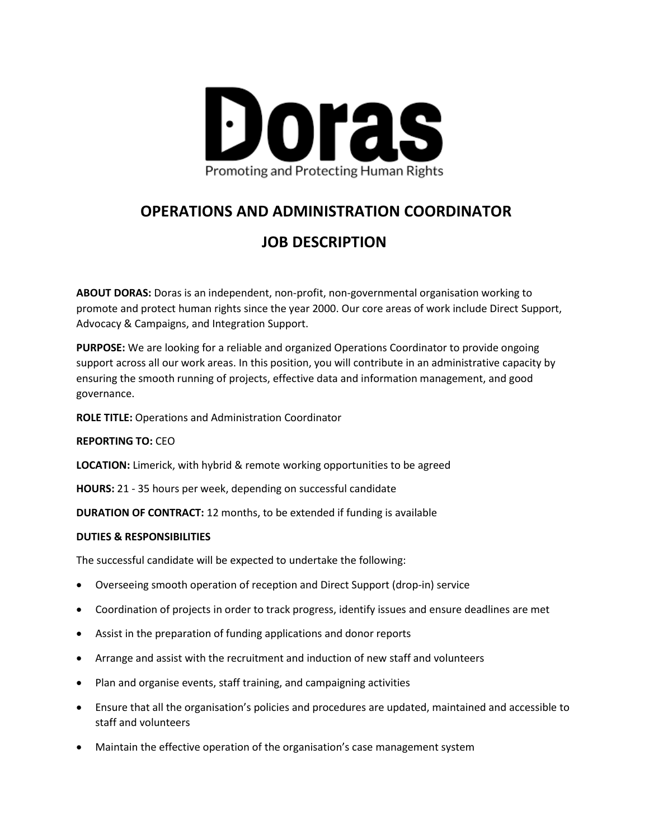

# **OPERATIONS AND ADMINISTRATION COORDINATOR**

## **JOB DESCRIPTION**

**ABOUT DORAS:** Doras is an independent, non-profit, non-governmental organisation working to promote and protect human rights since the year 2000. Our core areas of work include Direct Support, Advocacy & Campaigns, and Integration Support.

**PURPOSE:** We are looking for a reliable and organized Operations Coordinator to provide ongoing support across all our work areas. In this position, you will contribute in an administrative capacity by ensuring the smooth running of projects, effective data and information management, and good governance.

**ROLE TITLE:** Operations and Administration Coordinator

**REPORTING TO:** CEO

**LOCATION:** Limerick, with hybrid & remote working opportunities to be agreed

**HOURS:** 21 - 35 hours per week, depending on successful candidate

**DURATION OF CONTRACT:** 12 months, to be extended if funding is available

#### **DUTIES & RESPONSIBILITIES**

The successful candidate will be expected to undertake the following:

- Overseeing smooth operation of reception and Direct Support (drop-in) service
- Coordination of projects in order to track progress, identify issues and ensure deadlines are met
- Assist in the preparation of funding applications and donor reports
- Arrange and assist with the recruitment and induction of new staff and volunteers
- Plan and organise events, staff training, and campaigning activities
- Ensure that all the organisation's policies and procedures are updated, maintained and accessible to staff and volunteers
- Maintain the effective operation of the organisation's case management system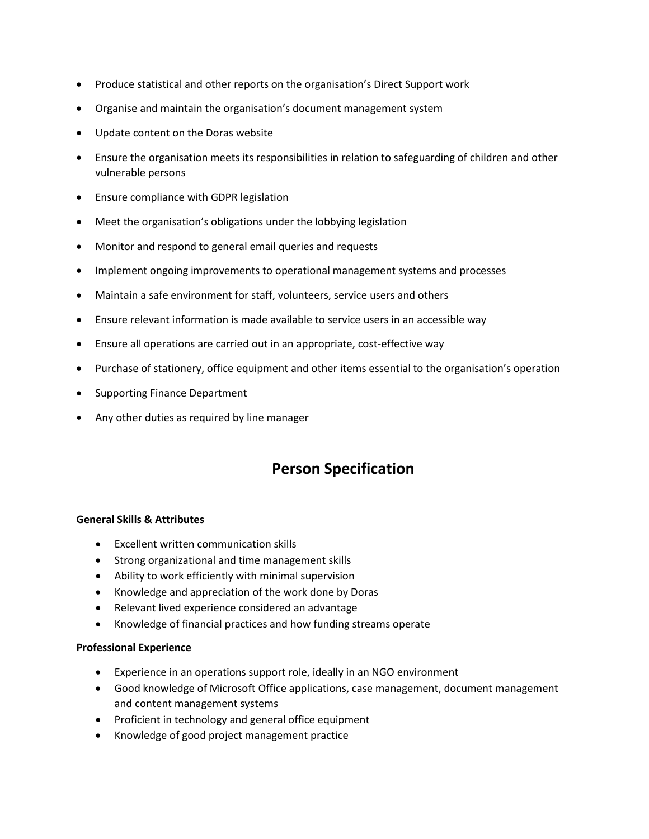- Produce statistical and other reports on the organisation's Direct Support work
- Organise and maintain the organisation's document management system
- Update content on the Doras website
- Ensure the organisation meets its responsibilities in relation to safeguarding of children and other vulnerable persons
- Ensure compliance with GDPR legislation
- Meet the organisation's obligations under the lobbying legislation
- Monitor and respond to general email queries and requests
- Implement ongoing improvements to operational management systems and processes
- Maintain a safe environment for staff, volunteers, service users and others
- Ensure relevant information is made available to service users in an accessible way
- Ensure all operations are carried out in an appropriate, cost-effective way
- Purchase of stationery, office equipment and other items essential to the organisation's operation
- Supporting Finance Department
- Any other duties as required by line manager

## **Person Specification**

#### **General Skills & Attributes**

- Excellent written communication skills
- Strong organizational and time management skills
- Ability to work efficiently with minimal supervision
- Knowledge and appreciation of the work done by Doras
- Relevant lived experience considered an advantage
- Knowledge of financial practices and how funding streams operate

#### **Professional Experience**

- Experience in an operations support role, ideally in an NGO environment
- Good knowledge of Microsoft Office applications, case management, document management and content management systems
- Proficient in technology and general office equipment
- Knowledge of good project management practice